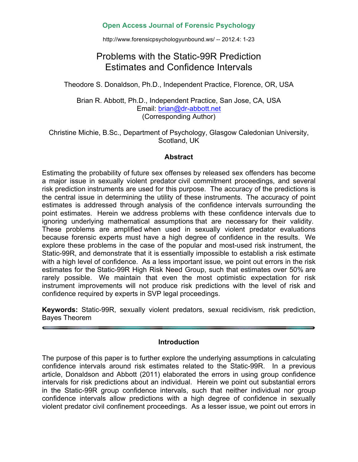# **Open Access Journal of Forensic Psychology**

http://www.forensicpsychologyunbound.ws/ -- 2012.4: 1-23

# Problems with the Static-99R Prediction Estimates and Confidence Intervals

Theodore S. Donaldson, Ph.D., Independent Practice, Florence, OR, USA

Brian R. Abbott, Ph.D., Independent Practice, San Jose, CA, USA Email: brian@dr-abbott.net (Corresponding Author)

Christine Michie, B.Sc., Department of Psychology, Glasgow Caledonian University, Scotland, UK

#### **Abstract**

Estimating the probability of future sex offenses by released sex offenders has become a major issue in sexually violent predator civil commitment proceedings, and several risk prediction instruments are used for this purpose. The accuracy of the predictions is the central issue in determining the utility of these instruments. The accuracy of point estimates is addressed through analysis of the confidence intervals surrounding the point estimates. Herein we address problems with these confidence intervals due to ignoring underlying mathematical assumptions that are necessary for their validity. These problems are amplified when used in sexually violent predator evaluations because forensic experts must have a high degree of confidence in the results. We explore these problems in the case of the popular and most-used risk instrument, the Static-99R, and demonstrate that it is essentially impossible to establish a risk estimate with a high level of confidence. As a less important issue, we point out errors in the risk estimates for the Static-99R High Risk Need Group, such that estimates over 50% are rarely possible. We maintain that even the most optimistic expectation for risk instrument improvements will not produce risk predictions with the level of risk and confidence required by experts in SVP legal proceedings.

**Keywords:** Static-99R, sexually violent predators, sexual recidivism, risk prediction, Bayes Theorem

#### **Introduction**

The purpose of this paper is to further explore the underlying assumptions in calculating confidence intervals around risk estimates related to the Static-99R. In a previous article, Donaldson and Abbott (2011) elaborated the errors in using group confidence intervals for risk predictions about an individual. Herein we point out substantial errors in the Static-99R group confidence intervals, such that neither individual nor group confidence intervals allow predictions with a high degree of confidence in sexually violent predator civil confinement proceedings. As a lesser issue, we point out errors in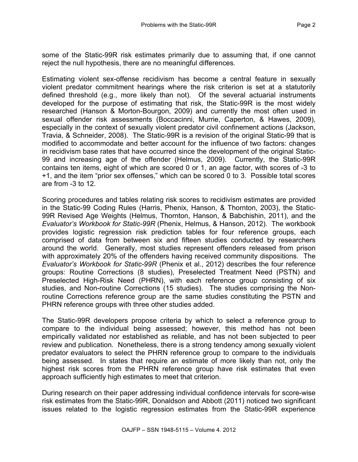some of the Static-99R risk estimates primarily due to assuming that, if one cannot reject the null hypothesis, there are no meaningful differences.

Estimating violent sex-offense recidivism has become a central feature in sexually violent predator commitment hearings where the risk criterion is set at a statutorily defined threshold (e.g., more likely than not). Of the several actuarial instruments developed for the purpose of estimating that risk, the Static-99R is the most widely researched (Hanson & Morton-Bourgon, 2009) and currently the most often used in sexual offender risk assessments (Boccacinni, Murrie, Caperton, & Hawes, 2009), especially in the context of sexually violent predator civil confinement actions (Jackson, Travia, & Schneider, 2008). The Static-99R is a revision of the original Static-99 that is modified to accommodate and better account for the influence of two factors: changes in recidivism base rates that have occurred since the development of the original Static-99 and increasing age of the offender (Helmus, 2009). Currently, the Static-99R contains ten items, eight of which are scored 0 or 1, an age factor, with scores of -3 to +1, and the item "prior sex offenses," which can be scored 0 to 3. Possible total scores are from -3 to 12.

Scoring procedures and tables relating risk scores to recidivism estimates are provided in the Static-99 Coding Rules (Harris, Phenix, Hanson, & Thornton, 2003), the Static-99R Revised Age Weights (Helmus, Thornton, Hanson, & Babchishin, 2011), and the *Evaluator's Workbook for Static-99R* (Phenix, Helmus, & Hanson, 2012). The workbook provides logistic regression risk prediction tables for four reference groups, each comprised of data from between six and fifteen studies conducted by researchers around the world. Generally, most studies represent offenders released from prison with approximately 20% of the offenders having received community dispositions. The *Evaluator's Workbook for Static-99R* (Phenix et al., 2012) describes the four reference groups: Routine Corrections (8 studies), Preselected Treatment Need (PSTN) and Preselected High-Risk Need (PHRN), with each reference group consisting of six studies, and Non-routine Corrections (15 studies). The studies comprising the Nonroutine Corrections reference group are the same studies constituting the PSTN and PHRN reference groups with three other studies added.

The Static-99R developers propose criteria by which to select a reference group to compare to the individual being assessed; however, this method has not been empirically validated nor established as reliable, and has not been subjected to peer review and publication. Nonetheless, there is a strong tendency among sexually violent predator evaluators to select the PHRN reference group to compare to the individuals being assessed. In states that require an estimate of more likely than not, only the highest risk scores from the PHRN reference group have risk estimates that even approach sufficiently high estimates to meet that criterion.

During research on their paper addressing individual confidence intervals for score-wise risk estimates from the Static-99R, Donaldson and Abbott (2011) noticed two significant issues related to the logistic regression estimates from the Static-99R experience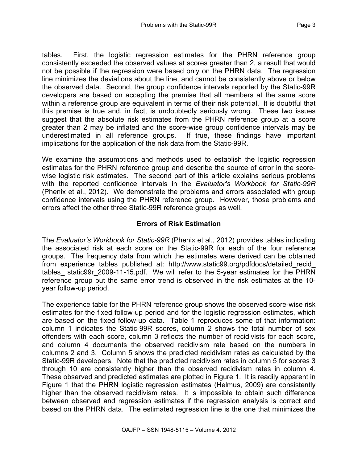tables. First, the logistic regression estimates for the PHRN reference group consistently exceeded the observed values at scores greater than 2, a result that would not be possible if the regression were based only on the PHRN data. The regression line minimizes the deviations about the line, and cannot be consistently above or below the observed data. Second, the group confidence intervals reported by the Static-99R developers are based on accepting the premise that all members at the same score within a reference group are equivalent in terms of their risk potential. It is doubtful that this premise is true and, in fact, is undoubtedly seriously wrong. These two issues suggest that the absolute risk estimates from the PHRN reference group at a score greater than 2 may be inflated and the score-wise group confidence intervals may be underestimated in all reference groups. If true, these findings have important implications for the application of the risk data from the Static-99R.

We examine the assumptions and methods used to establish the logistic regression estimates for the PHRN reference group and describe the source of error in the scorewise logistic risk estimates. The second part of this article explains serious problems with the reported confidence intervals in the *Evaluator's Workbook for Static-99R* (Phenix et al., 2012). We demonstrate the problems and errors associated with group confidence intervals using the PHRN reference group. However, those problems and errors affect the other three Static-99R reference groups as well.

# **Errors of Risk Estimation**

The *Evaluator's Workbook for Static-99R* (Phenix et al., 2012) provides tables indicating the associated risk at each score on the Static-99R for each of the four reference groups. The frequency data from which the estimates were derived can be obtained from experience tables published at: http://www.static99.org/pdfdocs/detailed\_recid\_ tables static99r 2009-11-15.pdf. We will refer to the 5-year estimates for the PHRN reference group but the same error trend is observed in the risk estimates at the 10 year follow-up period.

The experience table for the PHRN reference group shows the observed score-wise risk estimates for the fixed follow-up period and for the logistic regression estimates, which are based on the fixed follow-up data. Table 1 reproduces some of that information: column 1 indicates the Static-99R scores, column 2 shows the total number of sex offenders with each score, column 3 reflects the number of recidivists for each score, and column 4 documents the observed recidivism rate based on the numbers in columns 2 and 3. Column 5 shows the predicted recidivism rates as calculated by the Static-99R developers. Note that the predicted recidivism rates in column 5 for scores 3 through 10 are consistently higher than the observed recidivism rates in column 4. These observed and predicted estimates are plotted in Figure 1. It is readily apparent in Figure 1 that the PHRN logistic regression estimates (Helmus, 2009) are consistently higher than the observed recidivism rates. It is impossible to obtain such difference between observed and regression estimates if the regression analysis is correct and based on the PHRN data. The estimated regression line is the one that minimizes the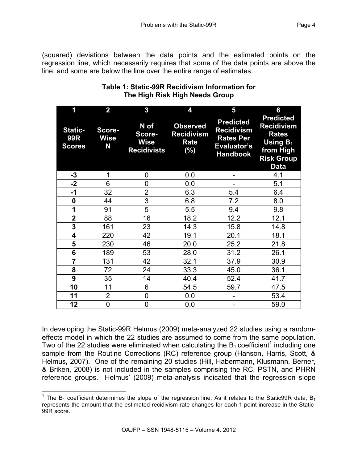(squared) deviations between the data points and the estimated points on the regression line, which necessarily requires that some of the data points are above the line, and some are below the line over the entire range of estimates.

| 1                                             | $\overline{2}$             | 3                                                   | 4                                                             | 5                                                                                           | 6                                                                                                                         |
|-----------------------------------------------|----------------------------|-----------------------------------------------------|---------------------------------------------------------------|---------------------------------------------------------------------------------------------|---------------------------------------------------------------------------------------------------------------------------|
| <b>Static-</b><br><b>99R</b><br><b>Scores</b> | Score-<br><b>Wise</b><br>N | N of<br>Score-<br><b>Wise</b><br><b>Recidivists</b> | <b>Observed</b><br><b>Recidivism</b><br><b>Rate</b><br>$(\%)$ | <b>Predicted</b><br><b>Recidivism</b><br><b>Rates Per</b><br>Evaluator's<br><b>Handbook</b> | <b>Predicted</b><br><b>Recidivism</b><br><b>Rates</b><br><b>Using B1</b><br>from High<br><b>Risk Group</b><br><b>Data</b> |
| $-3$                                          | 1                          | 0                                                   | 0.0                                                           |                                                                                             | 4.1                                                                                                                       |
| $-2$                                          | 6                          | $\overline{0}$                                      | 0.0                                                           |                                                                                             | 5.1                                                                                                                       |
| $-1$                                          | 32                         | $\overline{2}$                                      | 6.3                                                           | 5.4                                                                                         | 6.4                                                                                                                       |
| 0                                             | 44                         | 3                                                   | 6.8                                                           | 7.2                                                                                         | 8.0                                                                                                                       |
| 1                                             | 91                         | 5                                                   | 5.5                                                           | 9.4                                                                                         | 9.8                                                                                                                       |
| $\overline{2}$                                | 88                         | 16                                                  | 18.2                                                          | 12.2                                                                                        | 12.1                                                                                                                      |
| 3                                             | 161                        | 23                                                  | 14.3                                                          | 15.8                                                                                        | 14.8                                                                                                                      |
| 4                                             | 220                        | 42                                                  | 19.1                                                          | 20.1                                                                                        | 18.1                                                                                                                      |
| 5                                             | 230                        | 46                                                  | 20.0                                                          | 25.2                                                                                        | 21.8                                                                                                                      |
| 6                                             | 189                        | 53                                                  | 28.0                                                          | 31.2                                                                                        | 26.1                                                                                                                      |
| $\overline{7}$                                | 131                        | 42                                                  | 32.1                                                          | 37.9                                                                                        | 30.9                                                                                                                      |
| 8                                             | 72                         | 24                                                  | 33.3                                                          | 45.0                                                                                        | 36.1                                                                                                                      |
| 9                                             | 35                         | 14                                                  | 40.4                                                          | 52.4                                                                                        | 41.7                                                                                                                      |
| 10                                            | 11                         | 6                                                   | 54.5                                                          | 59.7                                                                                        | 47.5                                                                                                                      |
| 11                                            | $\overline{2}$             | 0                                                   | 0.0                                                           |                                                                                             | 53.4                                                                                                                      |
| 12                                            | 0                          | 0                                                   | 0.0                                                           |                                                                                             | 59.0                                                                                                                      |

# **Table 1: Static-99R Recidivism Information for The High Risk High Needs Group**

In developing the Static-99R Helmus (2009) meta-analyzed 22 studies using a randomeffects model in which the 22 studies are assumed to come from the same population. Two of the 22 studies were eliminated when calculating the  $B_1$  coefficient<sup>1</sup> including one sample from the Routine Corrections (RC) reference group (Hanson, Harris, Scott, & Helmus, 2007). One of the remaining 20 studies (Hill, Habermann, Klusmann, Berner, & Briken, 2008) is not included in the samples comprising the RC, PSTN, and PHRN reference groups. Helmus' (2009) meta-analysis indicated that the regression slope

<sup>&</sup>lt;sup>1</sup> The  $B_1$  coefficient determines the slope of the regression line. As it relates to the Static99R data,  $B_1$ represents the amount that the estimated recidivism rate changes for each 1 point increase in the Static-99R score.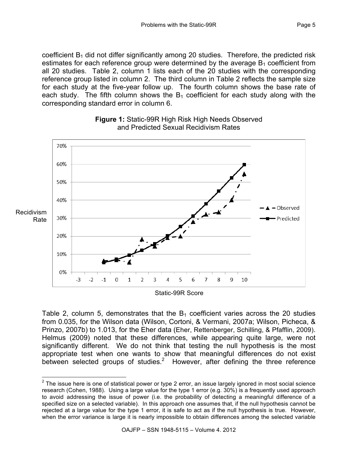coefficient  $B_1$  did not differ significantly among 20 studies. Therefore, the predicted risk estimates for each reference group were determined by the average  $B_1$  coefficient from all 20 studies. Table 2, column 1 lists each of the 20 studies with the corresponding reference group listed in column 2. The third column in Table 2 reflects the sample size for each study at the five-year follow up. The fourth column shows the base rate of each study. The fifth column shows the  $B_1$  coefficient for each study along with the corresponding standard error in column 6.





Table 2, column 5, demonstrates that the  $B_1$  coefficient varies across the 20 studies from 0.035, for the Wilson data (Wilson, Cortoni, & Vermani, 2007a; Wilson, Picheca, & Prinzo, 2007b) to 1.013, for the Eher data (Eher, Rettenberger, Schilling, & Pfafflin, 2009). Helmus (2009) noted that these differences, while appearing quite large, were not significantly different. We do not think that testing the null hypothesis is the most appropriate test when one wants to show that meaningful differences do not exist between selected groups of studies.<sup>2</sup> However, after defining the three reference

 $2$  The issue here is one of statistical power or type 2 error, an issue largely ignored in most social science research (Cohen, 1988). Using a large value for the type 1 error (e.g. 30%) is a frequently used approach to avoid addressing the issue of power (i.e. the probability of detecting a meaningful difference of a specified size on a selected variable). In this approach one assumes that, if the null hypothesis cannot be rejected at a large value for the type 1 error, it is safe to act as if the null hypothesis is true. However, when the error variance is large it is nearly impossible to obtain differences among the selected variable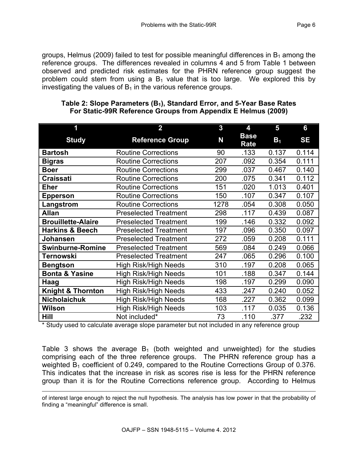groups, Helmus (2009) failed to test for possible meaningful differences in  $B_1$  among the reference groups. The differences revealed in columns 4 and 5 from Table 1 between observed and predicted risk estimates for the PHRN reference group suggest the problem could stem from using a  $B_1$  value that is too large. We explored this by investigating the values of  $B_1$  in the various reference groups.

| 1                                     | $\overline{\mathbf{2}}$      | 3    | 4                   | 5              | 6         |
|---------------------------------------|------------------------------|------|---------------------|----------------|-----------|
| <b>Study</b>                          | <b>Reference Group</b>       | N    | <b>Base</b><br>Rate | B <sub>1</sub> | <b>SE</b> |
| <b>Bartosh</b>                        | <b>Routine Corrections</b>   | 90   | .133                | 0.137          | 0.114     |
| <b>Bigras</b>                         | <b>Routine Corrections</b>   | 207  | .092                | 0.354          | 0.111     |
| <b>Boer</b>                           | <b>Routine Corrections</b>   | 299  | .037                | 0.467          | 0.140     |
| <b>Craissati</b>                      | <b>Routine Corrections</b>   | 200  | .075                | 0.341          | 0.112     |
| <b>Eher</b>                           | <b>Routine Corrections</b>   | 151  | .020                | 1.013          | 0.401     |
| <b>Epperson</b>                       | <b>Routine Corrections</b>   | 150  | .107                | 0.347          | 0.107     |
| Langstrom                             | <b>Routine Corrections</b>   | 1278 | .054                | 0.308          | 0.050     |
| <b>Allan</b>                          | <b>Preselected Treatment</b> | 298  | .117                | 0.439          | 0.087     |
| <b>Brouillette-Alaire</b>             | <b>Preselected Treatment</b> | 199  | .146                | 0.332          | 0.092     |
| <b>Harkins &amp; Beech</b>            | <b>Preselected Treatment</b> | 197  | .096                | 0.350          | 0.097     |
| Johansen                              | <b>Preselected Treatment</b> | 272  | .059                | 0.208          | 0.111     |
| <b>Swinburne-Romine</b>               | <b>Preselected Treatment</b> | 569  | .084                | 0.249          | 0.066     |
| Ternowski                             | <b>Preselected Treatment</b> | 247  | .065                | 0.296          | 0.100     |
| <b>Bengtson</b>                       | <b>High Risk/High Needs</b>  | 310  | .197                | 0.208          | 0.065     |
| <b>Bonta &amp; Yasine</b>             | <b>High Risk/High Needs</b>  | 101  | .188                | 0.347          | 0.144     |
| Haag                                  | <b>High Risk/High Needs</b>  | 198  | .197                | 0.299          | 0.090     |
| <b>Knight &amp; Thornton</b>          | <b>High Risk/High Needs</b>  | 433  | .247                | 0.240          | 0.052     |
| <b>Nicholaichuk</b>                   | <b>High Risk/High Needs</b>  | 168  | .227                | 0.362          | 0.099     |
| <b>High Risk/High Needs</b><br>Wilson |                              | 103  | .117                | 0.035          | 0.136     |
| Hill<br>Not included*                 |                              | 73   | .110                | .377           | .232      |

## **Table 2: Slope Parameters (B1), Standard Error, and 5-Year Base Rates For Static-99R Reference Groups from Appendix E Helmus (2009)**

\* Study used to calculate average slope parameter but not included in any reference group

Table 3 shows the average  $B_1$  (both weighted and unweighted) for the studies comprising each of the three reference groups. The PHRN reference group has a weighted  $B_1$  coefficient of 0.249, compared to the Routine Corrections Group of 0.376. This indicates that the increase in risk as scores rise is less for the PHRN reference group than it is for the Routine Corrections reference group. According to Helmus

of interest large enough to reject the null hypothesis. The analysis has low power in that the probability of finding a "meaningful" difference is small.

1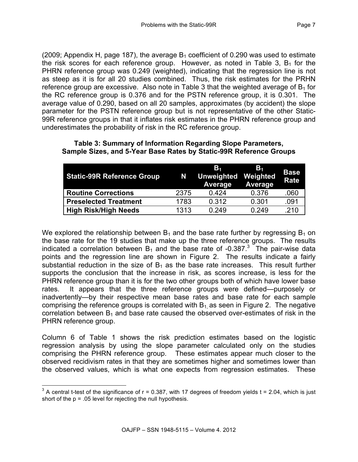(2009; Appendix H, page 187), the average  $B_1$  coefficient of 0.290 was used to estimate the risk scores for each reference group. However, as noted in Table 3,  $B_1$  for the PHRN reference group was 0.249 (weighted), indicating that the regression line is not as steep as it is for all 20 studies combined. Thus, the risk estimates for the PRHN reference group are excessive. Also note in Table 3 that the weighted average of  $B_1$  for the RC reference group is 0.376 and for the PSTN reference group, it is 0.301. The average value of 0.290, based on all 20 samples, approximates (by accident) the slope parameter for the PSTN reference group but is not representative of the other Static-99R reference groups in that it inflates risk estimates in the PHRN reference group and underestimates the probability of risk in the RC reference group.

| <b>Static-99R Reference Group</b> | N    | В.<br><b>Unweighted</b><br>Average | В.<br>Weighted<br>Average | <b>Base</b><br><b>Rate</b> |
|-----------------------------------|------|------------------------------------|---------------------------|----------------------------|
| <b>Routine Corrections</b>        | 2375 | 0.424                              | 0.376                     | .060                       |
| <b>Preselected Treatment</b>      | 1783 | 0.312                              | 0.301                     | .091                       |
| <b>High Risk/High Needs</b>       | 1313 | 0.249                              | 0.249                     | .210                       |

#### **Table 3: Summary of Information Regarding Slope Parameters, Sample Sizes, and 5-Year Base Rates by Static-99R Reference Groups**

We explored the relationship between  $B_1$  and the base rate further by regressing  $B_1$  on the base rate for the 19 studies that make up the three reference groups. The results indicated a correlation between  $B_1$  and the base rate of -0.387.<sup>3</sup> The pair-wise data points and the regression line are shown in Figure 2. The results indicate a fairly substantial reduction in the size of  $B_1$  as the base rate increases. This result further supports the conclusion that the increase in risk, as scores increase, is less for the PHRN reference group than it is for the two other groups both of which have lower base rates. It appears that the three reference groups were defined—purposely or inadvertently—by their respective mean base rates and base rate for each sample comprising the reference groups is correlated with  $B_1$  as seen in Figure 2. The negative correlation between  $B_1$  and base rate caused the observed over-estimates of risk in the PHRN reference group.

Column 6 of Table 1 shows the risk prediction estimates based on the logistic regression analysis by using the slope parameter calculated only on the studies comprising the PHRN reference group. These estimates appear much closer to the observed recidivism rates in that they are sometimes higher and sometimes lower than the observed values, which is what one expects from regression estimates. These

 $3$  A central t-test of the significance of  $r = 0.387$ , with 17 degrees of freedom yields  $t = 2.04$ , which is just short of the  $p = 0.05$  level for rejecting the null hypothesis.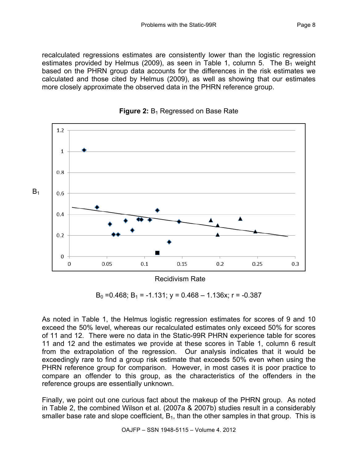recalculated regressions estimates are consistently lower than the logistic regression estimates provided by Helmus (2009), as seen in Table 1, column 5. The  $B_1$  weight based on the PHRN group data accounts for the differences in the risk estimates we calculated and those cited by Helmus (2009), as well as showing that our estimates more closely approximate the observed data in the PHRN reference group.





 $B_0$  = 0.468; B<sub>1</sub> = -1.131; y = 0.468 – 1.136x; r = -0.387

As noted in Table 1, the Helmus logistic regression estimates for scores of 9 and 10 exceed the 50% level, whereas our recalculated estimates only exceed 50% for scores of 11 and 12. There were no data in the Static-99R PHRN experience table for scores 11 and 12 and the estimates we provide at these scores in Table 1, column 6 result from the extrapolation of the regression. Our analysis indicates that it would be exceedingly rare to find a group risk estimate that exceeds 50% even when using the PHRN reference group for comparison. However, in most cases it is poor practice to compare an offender to this group, as the characteristics of the offenders in the reference groups are essentially unknown.

Finally, we point out one curious fact about the makeup of the PHRN group. As noted in Table 2, the combined Wilson et al. (2007a & 2007b) studies result in a considerably smaller base rate and slope coefficient,  $B_1$ , than the other samples in that group. This is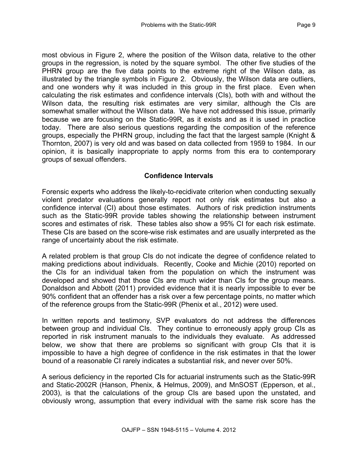most obvious in Figure 2, where the position of the Wilson data, relative to the other groups in the regression, is noted by the square symbol. The other five studies of the PHRN group are the five data points to the extreme right of the Wilson data, as illustrated by the triangle symbols in Figure 2. Obviously, the Wilson data are outliers, and one wonders why it was included in this group in the first place. Even when calculating the risk estimates and confidence intervals (CIs), both with and without the Wilson data, the resulting risk estimates are very similar, although the CIs are somewhat smaller without the Wilson data. We have not addressed this issue, primarily because we are focusing on the Static-99R, as it exists and as it is used in practice today. There are also serious questions regarding the composition of the reference groups, especially the PHRN group, including the fact that the largest sample (Knight & Thornton, 2007) is very old and was based on data collected from 1959 to 1984. In our opinion, it is basically inappropriate to apply norms from this era to contemporary groups of sexual offenders.

## **Confidence Intervals**

Forensic experts who address the likely-to-recidivate criterion when conducting sexually violent predator evaluations generally report not only risk estimates but also a confidence interval (CI) about those estimates. Authors of risk prediction instruments such as the Static-99R provide tables showing the relationship between instrument scores and estimates of risk. These tables also show a 95% CI for each risk estimate. These CIs are based on the score-wise risk estimates and are usually interpreted as the range of uncertainty about the risk estimate.

A related problem is that group CIs do not indicate the degree of confidence related to making predictions about individuals. Recently, Cooke and Michie (2010) reported on the CIs for an individual taken from the population on which the instrument was developed and showed that those CIs are much wider than CIs for the group means. Donaldson and Abbott (2011) provided evidence that it is nearly impossible to ever be 90% confident that an offender has a risk over a few percentage points, no matter which of the reference groups from the Static-99R (Phenix et al., 2012) were used.

In written reports and testimony, SVP evaluators do not address the differences between group and individual CIs. They continue to erroneously apply group CIs as reported in risk instrument manuals to the individuals they evaluate. As addressed below, we show that there are problems so significant with group CIs that it is impossible to have a high degree of confidence in the risk estimates in that the lower bound of a reasonable CI rarely indicates a substantial risk, and never over 50%.

A serious deficiency in the reported CIs for actuarial instruments such as the Static-99R and Static-2002R (Hanson, Phenix, & Helmus, 2009), and MnSOST (Epperson, et al., 2003), is that the calculations of the group CIs are based upon the unstated, and obviously wrong, assumption that every individual with the same risk score has the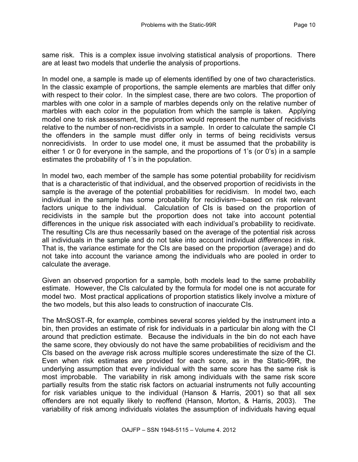same risk. This is a complex issue involving statistical analysis of proportions. There are at least two models that underlie the analysis of proportions.

In model one, a sample is made up of elements identified by one of two characteristics. In the classic example of proportions, the sample elements are marbles that differ only with respect to their color. In the simplest case, there are two colors. The proportion of marbles with one color in a sample of marbles depends only on the relative number of marbles with each color in the population from which the sample is taken. Applying model one to risk assessment, the proportion would represent the number of recidivists relative to the number of non-recidivists in a sample. In order to calculate the sample CI the offenders in the sample must differ only in terms of being recidivists versus nonrecidivists. In order to use model one, it must be assumed that the probability is either 1 or 0 for everyone in the sample, and the proportions of 1's (or 0's) in a sample estimates the probability of 1's in the population.

In model two, each member of the sample has some potential probability for recidivism that is a characteristic of that individual, and the observed proportion of recidivists in the sample is the average of the potential probabilities for recidivism. In model two, each individual in the sample has some probability for recidivism—based on risk relevant factors unique to the individual. Calculation of CIs is based on the proportion of recidivists in the sample but the proportion does not take into account potential differences in the unique risk associated with each individual's probability to recidivate. The resulting CIs are thus necessarily based on the average of the potential risk across all individuals in the sample and do not take into account individual *differences* in risk. That is, the variance estimate for the CIs are based on the proportion (average) and do not take into account the variance among the individuals who are pooled in order to calculate the average.

Given an observed proportion for a sample, both models lead to the same probability estimate. However, the CIs calculated by the formula for model one is not accurate for model two. Most practical applications of proportion statistics likely involve a mixture of the two models, but this also leads to construction of inaccurate CIs.

The MnSOST-R, for example, combines several scores yielded by the instrument into a bin, then provides an estimate of risk for individuals in a particular bin along with the CI around that prediction estimate. Because the individuals in the bin do not each have the same score, they obviously do not have the same probabilities of recidivism and the CIs based on the *average* risk across multiple scores underestimate the size of the CI. Even when risk estimates are provided for each score, as in the Static-99R, the underlying assumption that every individual with the same score has the same risk is most improbable. The variability in risk among individuals with the same risk score partially results from the static risk factors on actuarial instruments not fully accounting for risk variables unique to the individual (Hanson & Harris, 2001) so that all sex offenders are not equally likely to reoffend (Hanson, Morton, & Harris, 2003). The variability of risk among individuals violates the assumption of individuals having equal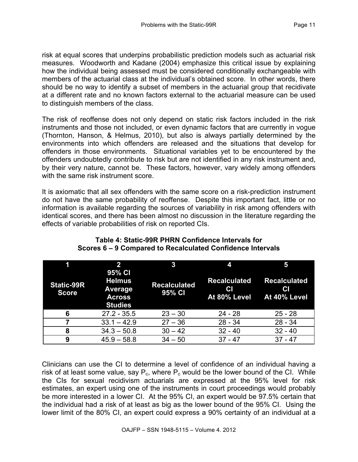risk at equal scores that underpins probabilistic prediction models such as actuarial risk measures. Woodworth and Kadane (2004) emphasize this critical issue by explaining how the individual being assessed must be considered conditionally exchangeable with members of the actuarial class at the individual's obtained score. In other words, there should be no way to identify a subset of members in the actuarial group that recidivate at a different rate and no known factors external to the actuarial measure can be used to distinguish members of the class.

The risk of reoffense does not only depend on static risk factors included in the risk instruments and those not included, or even dynamic factors that are currently in vogue (Thornton, Hanson, & Helmus, 2010), but also is always partially determined by the environments into which offenders are released and the situations that develop for offenders in those environments. Situational variables yet to be encountered by the offenders undoubtedly contribute to risk but are not identified in any risk instrument and, by their very nature, cannot be. These factors, however, vary widely among offenders with the same risk instrument score.

It is axiomatic that all sex offenders with the same score on a risk-prediction instrument do not have the same probability of reoffense. Despite this important fact, little or no information is available regarding the sources of variability in risk among offenders with identical scores, and there has been almost no discussion in the literature regarding the effects of variable probabilities of risk on reported CIs.

|                                   | $\overline{2}$                                                        |                               | 4                                                |                                           |
|-----------------------------------|-----------------------------------------------------------------------|-------------------------------|--------------------------------------------------|-------------------------------------------|
| <b>Static-99R</b><br><b>Score</b> | 95% CI<br><b>Helmus</b><br>Average<br><b>Across</b><br><b>Studies</b> | <b>Recalculated</b><br>95% CI | <b>Recalculated</b><br><b>CI</b><br>At 80% Level | <b>Recalculated</b><br>CI<br>At 40% Level |
| 6                                 | $27.2 - 35.5$                                                         | $23 - 30$                     | $24 - 28$                                        | $25 - 28$                                 |
|                                   | $33.1 - 42.9$                                                         | $27 - 36$                     | $28 - 34$                                        | $28 - 34$                                 |
| 8                                 | $34.3 - 50.8$                                                         | $30 - 42$                     | $32 - 40$                                        | $32 - 40$                                 |
| 9                                 | $45.9 - 58.8$                                                         | $34 - 50$                     | $37 - 47$                                        | $37 - 47$                                 |

# **Table 4: Static-99R PHRN Confidence Intervals for Scores 6 – 9 Compared to Recalculated Confidence Intervals**

Clinicians can use the CI to determine a level of confidence of an individual having a risk of at least some value, say  $P_c$ , where  $P_c$  would be the lower bound of the CI. While the CIs for sexual recidivism actuarials are expressed at the 95% level for risk estimates, an expert using one of the instruments in court proceedings would probably be more interested in a lower CI. At the 95% CI, an expert would be 97.5% certain that the individual had a risk of at least as big as the lower bound of the 95% CI. Using the lower limit of the 80% CI, an expert could express a 90% certainty of an individual at a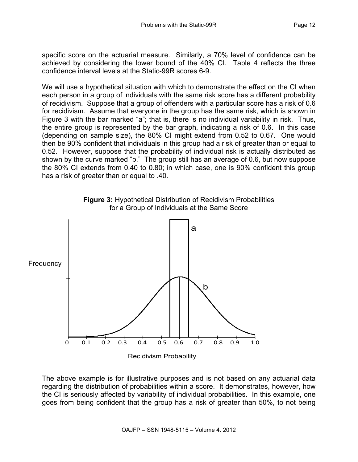specific score on the actuarial measure. Similarly, a 70% level of confidence can be achieved by considering the lower bound of the 40% CI. Table 4 reflects the three confidence interval levels at the Static-99R scores 6-9.

We will use a hypothetical situation with which to demonstrate the effect on the CI when each person in a group of individuals with the same risk score has a different probability of recidivism. Suppose that a group of offenders with a particular score has a risk of 0.6 for recidivism. Assume that everyone in the group has the same risk, which is shown in Figure 3 with the bar marked "a"; that is, there is no individual variability in risk. Thus, the entire group is represented by the bar graph, indicating a risk of 0.6. In this case (depending on sample size), the 80% CI might extend from 0.52 to 0.67. One would then be 90% confident that individuals in this group had a risk of greater than or equal to 0.52. However, suppose that the probability of individual risk is actually distributed as shown by the curve marked "b." The group still has an average of 0.6, but now suppose the 80% CI extends from 0.40 to 0.80; in which case, one is 90% confident this group has a risk of greater than or equal to .40.





The above example is for illustrative purposes and is not based on any actuarial data regarding the distribution of probabilities within a score. It demonstrates, however, how the CI is seriously affected by variability of individual probabilities. In this example, one goes from being confident that the group has a risk of greater than 50%, to not being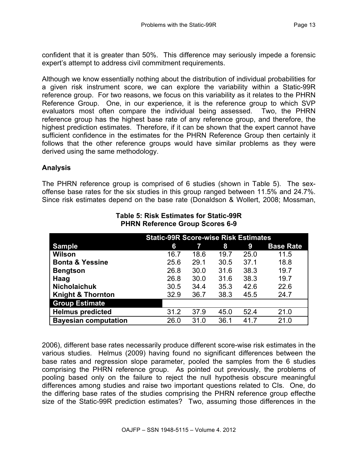confident that it is greater than 50%. This difference may seriously impede a forensic expert's attempt to address civil commitment requirements.

Although we know essentially nothing about the distribution of individual probabilities for a given risk instrument score, we can explore the variability within a Static-99R reference group. For two reasons, we focus on this variability as it relates to the PHRN Reference Group. One, in our experience, it is the reference group to which SVP evaluators most often compare the individual being assessed. Two, the PHRN reference group has the highest base rate of any reference group, and therefore, the highest prediction estimates. Therefore, if it can be shown that the expert cannot have sufficient confidence in the estimates for the PHRN Reference Group then certainly it follows that the other reference groups would have similar problems as they were derived using the same methodology.

## **Analysis**

The PHRN reference group is comprised of 6 studies (shown in Table 5). The sexoffense base rates for the six studies in this group ranged between 11.5% and 24.7%. Since risk estimates depend on the base rate (Donaldson & Wollert, 2008; Mossman,

|                              | <b>Static-99R Score-wise Risk Estimates</b> |      |      |      |                  |
|------------------------------|---------------------------------------------|------|------|------|------------------|
| <b>Sample</b>                | 6                                           | 7    | 8    | 9    | <b>Base Rate</b> |
| <b>Wilson</b>                | 16.7                                        | 18.6 | 19.7 | 25.0 | 11.5             |
| <b>Bonta &amp; Yessine</b>   | 25.6                                        | 29.1 | 30.5 | 37.1 | 18.8             |
| <b>Bengtson</b>              | 26.8                                        | 30.0 | 31.6 | 38.3 | 19.7             |
| Haag                         | 26.8                                        | 30.0 | 31.6 | 38.3 | 19.7             |
| <b>Nicholaichuk</b>          | 30.5                                        | 34.4 | 35.3 | 42.6 | 22.6             |
| <b>Knight &amp; Thornton</b> | 32.9                                        | 36.7 | 38.3 | 45.5 | 24.7             |
| <b>Group Estimate</b>        |                                             |      |      |      |                  |
| <b>Helmus predicted</b>      | 31.2                                        | 37.9 | 45.0 | 52.4 | 21.0             |
| <b>Bayesian computation</b>  | 26.0                                        | 31.0 | 36.1 | 417  | 21 N             |

#### **Table 5: Risk Estimates for Static-99R PHRN Reference Group Scores 6-9**

2006), different base rates necessarily produce different score-wise risk estimates in the various studies. Helmus (2009) having found no significant differences between the base rates and regression slope parameter, pooled the samples from the 6 studies comprising the PHRN reference group. As pointed out previously, the problems of pooling based only on the failure to reject the null hypothesis obscure meaningful differences among studies and raise two important questions related to CIs. One, do the differing base rates of the studies comprising the PHRN reference group effecthe size of the Static-99R prediction estimates? Two, assuming those differences in the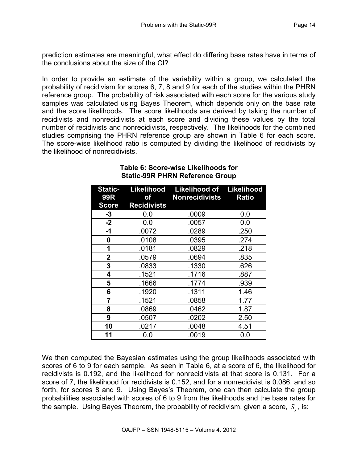prediction estimates are meaningful, what effect do differing base rates have in terms of the conclusions about the size of the CI?

In order to provide an estimate of the variability within a group, we calculated the probability of recidivism for scores 6, 7, 8 and 9 for each of the studies within the PHRN reference group. The probability of risk associated with each score for the various study samples was calculated using Bayes Theorem, which depends only on the base rate and the score likelihoods. The score likelihoods are derived by taking the number of recidivists and nonrecidivists at each score and dividing these values by the total number of recidivists and nonrecidivists, respectively. The likelihoods for the combined studies comprising the PHRN reference group are shown in Table 6 for each score. The score-wise likelihood ratio is computed by dividing the likelihood of recidivists by the likelihood of nonrecidivists.

| <b>Static-</b><br><b>99R</b> | of                 | Likelihood Likelihood of<br><b>Nonrecidivists</b> | <b>Likelihood</b><br><b>Ratio</b> |
|------------------------------|--------------------|---------------------------------------------------|-----------------------------------|
| <b>Score</b>                 | <b>Recidivists</b> |                                                   |                                   |
| $-3$                         | 0.0                | .0009                                             | 0.0                               |
| $-2$                         | 0.0                | .0057                                             | 0.0                               |
| $-1$                         | .0072              | .0289                                             | .250                              |
| 0                            | .0108              | .0395                                             | .274                              |
| 1                            | .0181              | .0829                                             | .218                              |
| $\mathbf{2}$                 | .0579              | .0694                                             | .835                              |
| 3                            | .0833              | .1330                                             | .626                              |
| 4                            | .1521              | .1716                                             | .887                              |
| 5                            | .1666              | .1774                                             | .939                              |
| 6                            | .1920              | .1311                                             | 1.46                              |
| 7                            | .1521              | .0858                                             | 1.77                              |
| 8                            | .0869              | .0462                                             | 1.87                              |
| 9                            | .0507              | .0202                                             | 2.50                              |
| 10                           | .0217              | .0048                                             | 4.51                              |
| 11                           | 0.0                | .0019                                             | 0.0                               |

## **Table 6: Score-wise Likelihoods for Static-99R PHRN Reference Group**

We then computed the Bayesian estimates using the group likelihoods associated with scores of 6 to 9 for each sample. As seen in Table 6, at a score of 6, the likelihood for recidivists is 0.192, and the likelihood for nonrecidivists at that score is 0.131. For a score of 7, the likelihood for recidivists is 0.152, and for a nonrecidivist is 0.086, and so forth, for scores 8 and 9. Using Bayes's Theorem, one can then calculate the group probabilities associated with scores of 6 to 9 from the likelihoods and the base rates for the sample. Using Bayes Theorem, the probability of recidivism, given a score, *S<sub>i</sub>*, is: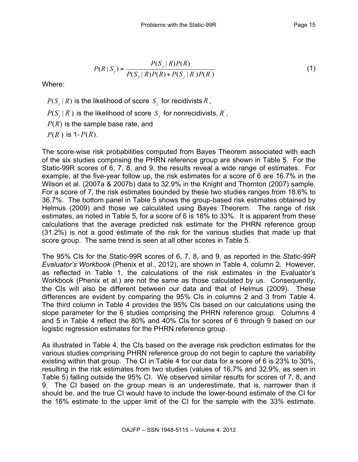$$
P(R | S_j) = \frac{P(S_j | R)P(R)}{P(S_j | R)P(R) + P(S_j | R')P(R')}
$$
(1)

Where:

 $P(S_i | R)$  is the likelihood of score  $S_i$  for recidivists  $R$ ,

 $P(S_i | R)$  is the likelihood of score  $S_i$  for nonrecidivists,  $R$ <sup>'</sup>,

 $P(R)$  is the sample base rate, and

 $P(R)$  is 1- $P(R)$ .

The score-wise risk probabilities computed from Bayes Theorem associated with each of the six studies comprising the PHRN reference group are shown in Table 5. For the Static-99R scores of 6, 7, 8, and 9, the results reveal a wide range of estimates. For example, at the five-year follow up, the risk estimates for a score of 6 are 16.7% in the Wilson et al. (2007a & 2007b) data to 32.9% in the Knight and Thornton (2007) sample. For a score of 7, the risk estimates bounded by these two studies ranges from 18.6% to 36.7%. The bottom panel in Table 5 shows the group-based risk estimates obtained by Helmus (2009) and those we calculated using Bayes Theorem. The range of risk estimates, as noted in Table 5, for a score of 6 is 16% to 33%. It is apparent from these calculations that the average predicted risk estimate for the PHRN reference group (31.2%) is not a good estimate of the risk for the various studies that made up that score group. The same trend is seen at all other scores in Table 5.

The 95% CIs for the Static-99R scores of 6, 7, 8, and 9, as reported in the *Static-99R Evaluator's Workbook* (Phenix et al., 2012), are shown in Table 4, column 2. However, as reflected in Table 1, the calculations of the risk estimates in the Evaluator's Workbook (Phenix et al.) are not the same as those calculated by us. Consequently, the CIs will also be different between our data and that of Helmus (2009). These differences are evident by comparing the 95% CIs in columns 2 and 3 from Table 4. The third column in Table 4 provides the 95% CIs based on our calculations using the slope parameter for the 6 studies comprising the PHRN reference group. Columns 4 and 5 in Table 4 reflect the 80% and 40% CIs for scores of 6 through 9 based on our logistic regression estimates for the PHRN reference group.

As illustrated in Table 4, the CIs based on the average risk prediction estimates for the various studies comprising PHRN reference group do not begin to capture the variability existing within that group. The CI in Table 4 for our data for a score of 6 is 23% to 30%, resulting in the risk estimates from two studies (values of 16.7% and 32.9%, as seen in Table 5) falling outside the 95% CI. We observed similar results for scores of 7, 8, and 9. The CI based on the group mean is an underestimate, that is, narrower than it should be, and the true CI would have to include the lower-bound estimate of the CI for the 16% estimate to the upper limit of the CI for the sample with the 33% estimate.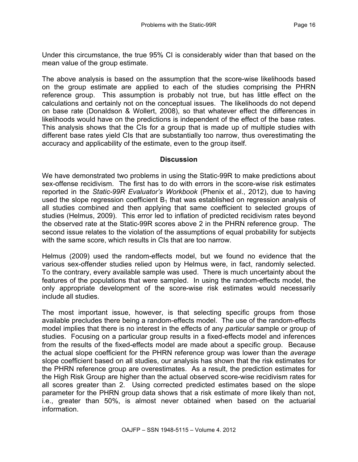Under this circumstance, the true 95% CI is considerably wider than that based on the mean value of the group estimate.

The above analysis is based on the assumption that the score-wise likelihoods based on the group estimate are applied to each of the studies comprising the PHRN reference group. This assumption is probably not true, but has little effect on the calculations and certainly not on the conceptual issues. The likelihoods do not depend on base rate (Donaldson & Wollert, 2008), so that whatever effect the differences in likelihoods would have on the predictions is independent of the effect of the base rates. This analysis shows that the CIs for a group that is made up of multiple studies with different base rates yield CIs that are substantially too narrow, thus overestimating the accuracy and applicability of the estimate, even to the group itself.

#### **Discussion**

We have demonstrated two problems in using the Static-99R to make predictions about sex-offense recidivism. The first has to do with errors in the score-wise risk estimates reported in the *Static-99R Evaluator's Workbook* (Phenix et al., 2012), due to having used the slope regression coefficient  $B_1$  that was established on regression analysis of all studies combined and then applying that same coefficient to selected groups of studies (Helmus, 2009). This error led to inflation of predicted recidivism rates beyond the observed rate at the Static-99R scores above 2 in the PHRN reference group. The second issue relates to the violation of the assumptions of equal probability for subjects with the same score, which results in CIs that are too narrow.

Helmus (2009) used the random-effects model, but we found no evidence that the various sex-offender studies relied upon by Helmus were, in fact, randomly selected. To the contrary, every available sample was used. There is much uncertainty about the features of the populations that were sampled. In using the random-effects model, the only appropriate development of the score-wise risk estimates would necessarily include all studies.

The most important issue, however, is that selecting specific groups from those available precludes there being a random-effects model. The use of the random-effects model implies that there is no interest in the effects of any *particular* sample or group of studies. Focusing on a particular group results in a fixed-effects model and inferences from the results of the fixed-effects model are made about a specific group. Because the actual slope coefficient for the PHRN reference group was lower than the *average* slope coefficient based on all studies, our analysis has shown that the risk estimates for the PHRN reference group are overestimates. As a result, the prediction estimates for the High Risk Group are higher than the actual observed score-wise recidivism rates for all scores greater than 2. Using corrected predicted estimates based on the slope parameter for the PHRN group data shows that a risk estimate of more likely than not, i.e., greater than 50%, is almost never obtained when based on the actuarial information.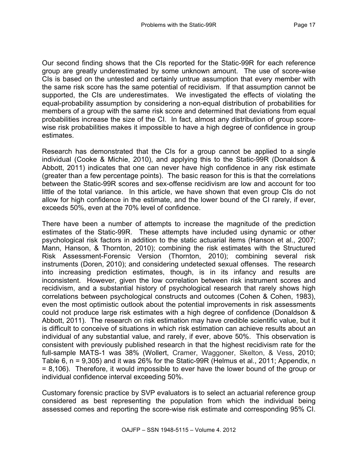Our second finding shows that the CIs reported for the Static-99R for each reference group are greatly underestimated by some unknown amount. The use of score-wise CIs is based on the untested and certainly untrue assumption that every member with the same risk score has the same potential of recidivism. If that assumption cannot be supported, the CIs are underestimates. We investigated the effects of violating the equal-probability assumption by considering a non-equal distribution of probabilities for members of a group with the same risk score and determined that deviations from equal probabilities increase the size of the CI. In fact, almost any distribution of group scorewise risk probabilities makes it impossible to have a high degree of confidence in group estimates.

Research has demonstrated that the CIs for a group cannot be applied to a single individual (Cooke & Michie, 2010), and applying this to the Static-99R (Donaldson & Abbott, 2011) indicates that one can never have high confidence in any risk estimate (greater than a few percentage points). The basic reason for this is that the correlations between the Static-99R scores and sex-offense recidivism are low and account for too little of the total variance. In this article, we have shown that even group CIs do not allow for high confidence in the estimate, and the lower bound of the CI rarely, if ever, exceeds 50%, even at the 70% level of confidence.

There have been a number of attempts to increase the magnitude of the prediction estimates of the Static-99R. These attempts have included using dynamic or other psychological risk factors in addition to the static actuarial items (Hanson et al., 2007; Mann, Hanson, & Thornton, 2010); combining the risk estimates with the Structured Risk Assessment-Forensic Version (Thornton, 2010); combining several risk instruments (Doren, 2010); and considering undetected sexual offenses. The research into increasing prediction estimates, though, is in its infancy and results are inconsistent. However, given the low correlation between risk instrument scores and recidivism, and a substantial history of psychological research that rarely shows high correlations between psychological constructs and outcomes (Cohen & Cohen, 1983), even the most optimistic outlook about the potential improvements in risk assessments could not produce large risk estimates with a high degree of confidence (Donaldson & Abbott, 2011). The research on risk estimation may have credible scientific value, but it is difficult to conceive of situations in which risk estimation can achieve results about an individual of any substantial value, and rarely, if ever, above 50%. This observation is consistent with previously published research in that the highest recidivism rate for the full-sample MATS-1 was 38% (Wollert, Cramer, Waggoner, Skelton, & Vess, 2010; Table 6, n = 9,305) and it was 26% for the Static-99R (Helmus et al., 2011; Appendix, n = 8,106). Therefore, it would impossible to ever have the lower bound of the group or individual confidence interval exceeding 50%.

Customary forensic practice by SVP evaluators is to select an actuarial reference group considered as best representing the population from which the individual being assessed comes and reporting the score-wise risk estimate and corresponding 95% CI.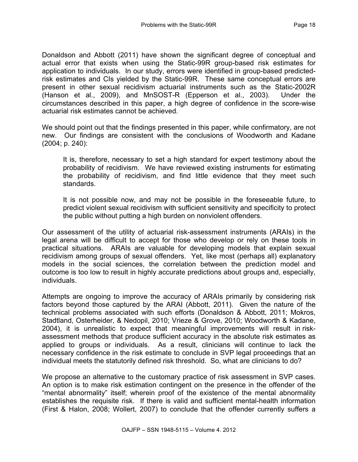Donaldson and Abbott (2011) have shown the significant degree of conceptual and actual error that exists when using the Static-99R group-based risk estimates for application to individuals. In our study, errors were identified in group-based predictedrisk estimates and CIs yielded by the Static-99R. These same conceptual errors are present in other sexual recidivism actuarial instruments such as the Static-2002R (Hanson et al., 2009), and MnSOST-R (Epperson et al., 2003). Under the circumstances described in this paper, a high degree of confidence in the score-wise actuarial risk estimates cannot be achieved.

We should point out that the findings presented in this paper, while confirmatory, are not new. Our findings are consistent with the conclusions of Woodworth and Kadane (2004; p. 240):

It is, therefore, necessary to set a high standard for expert testimony about the probability of recidivism. We have reviewed existing instruments for estimating the probability of recidivism, and find little evidence that they meet such standards.

It is not possible now, and may not be possible in the foreseeable future, to predict violent sexual recidivism with sufficient sensitivity and specificity to protect the public without putting a high burden on nonviolent offenders.

Our assessment of the utility of actuarial risk-assessment instruments (ARAIs) in the legal arena will be difficult to accept for those who develop or rely on these tools in practical situations. ARAIs are valuable for developing models that explain sexual recidivism among groups of sexual offenders. Yet, like most (perhaps all) explanatory models in the social sciences, the correlation between the prediction model and outcome is too low to result in highly accurate predictions about groups and, especially, individuals.

Attempts are ongoing to improve the accuracy of ARAIs primarily by considering risk factors beyond those captured by the ARAI (Abbott, 2011). Given the nature of the technical problems associated with such efforts (Donaldson & Abbott, 2011; Mokros, Stadtland, Osterheider, & Nedopil, 2010; Vrieze & Grove, 2010; Woodworth & Kadane, 2004), it is unrealistic to expect that meaningful improvements will result in riskassessment methods that produce sufficient accuracy in the absolute risk estimates as applied to groups or individuals. As a result, clinicians will continue to lack the necessary confidence in the risk estimate to conclude in SVP legal proceedings that an individual meets the statutorily defined risk threshold. So, what are clinicians to do?

We propose an alternative to the customary practice of risk assessment in SVP cases. An option is to make risk estimation contingent on the presence in the offender of the "mental abnormality" itself; wherein proof of the existence of the mental abnormality establishes the requisite risk. If there is valid and sufficient mental-health information (First & Halon, 2008; Wollert, 2007) to conclude that the offender currently suffers a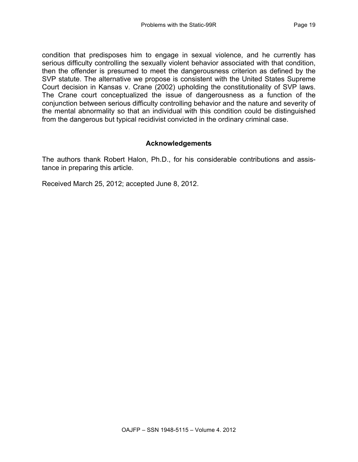condition that predisposes him to engage in sexual violence, and he currently has serious difficulty controlling the sexually violent behavior associated with that condition, then the offender is presumed to meet the dangerousness criterion as defined by the SVP statute. The alternative we propose is consistent with the United States Supreme Court decision in Kansas v. Crane (2002) upholding the constitutionality of SVP laws. The Crane court conceptualized the issue of dangerousness as a function of the conjunction between serious difficulty controlling behavior and the nature and severity of the mental abnormality so that an individual with this condition could be distinguished from the dangerous but typical recidivist convicted in the ordinary criminal case.

## **Acknowledgements**

The authors thank Robert Halon, Ph.D., for his considerable contributions and assistance in preparing this article.

Received March 25, 2012; accepted June 8, 2012.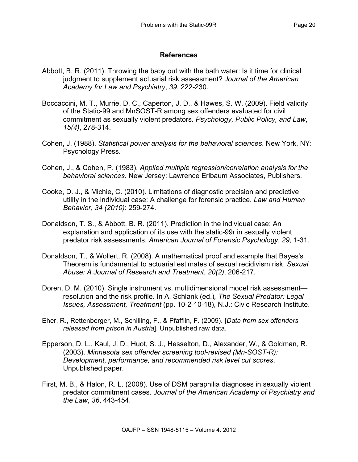## **References**

- Abbott, B. R. (2011). Throwing the baby out with the bath water: Is it time for clinical judgment to supplement actuarial risk assessment? *Journal of the American Academy for Law and Psychiatry*, *39*, 222-230.
- Boccaccini, M. T., Murrie, D. C., Caperton, J. D., & Hawes, S. W. (2009). Field validity of the Static-99 and MnSOST-R among sex offenders evaluated for civil commitment as sexually violent predators. *Psychology, Public Policy, and Law*, *15(4)*, 278-314.
- Cohen, J. (1988). *Statistical power analysis for the behavioral sciences*. New York, NY: Psychology Press.
- Cohen, J., & Cohen, P. (1983). *Applied multiple regression/correlation analysis for the behavioral sciences*. New Jersey: Lawrence Erlbaum Associates, Publishers.
- Cooke, D. J., & Michie, C. (2010). Limitations of diagnostic precision and predictive utility in the individual case: A challenge for forensic practice. *Law and Human Behavior*, *34 (2010)*: 259-274.
- Donaldson, T. S., & Abbott, B. R. (2011). Prediction in the individual case: An explanation and application of its use with the static-99r in sexually violent predator risk assessments. *American Journal of Forensic Psychology*, *29*, 1-31.
- Donaldson, T., & Wollert, R. (2008). A mathematical proof and example that Bayes's Theorem is fundamental to actuarial estimates of sexual recidivism risk. *Sexual Abuse: A Journal of Research and Treatment*, *20(2)*, 206-217.
- Doren, D. M. (2010). Single instrument vs. multidimensional model risk assessment resolution and the risk profile. In A. Schlank (ed.)*, The Sexual Predator: Legal Issues, Assessment, Treatment* (pp. 10-2-10-18), N.J.: Civic Research Institute.
- Eher, R., Rettenberger, M., Schilling, F., & Pfafflin, F. (2009). [*Data from sex offenders released from prison in Austria*]. Unpublished raw data.
- Epperson, D. L., Kaul, J. D., Huot, S. J., Hesselton, D., Alexander, W., & Goldman, R. (2003). *Minnesota sex offender screening tool-revised (Mn-SOST-R): Development, performance, and recommended risk level cut scores*. Unpublished paper.
- First, M. B., & Halon, R. L. (2008). Use of DSM paraphilia diagnoses in sexually violent predator commitment cases. *Journal of the American Academy of Psychiatry and the Law*, *36*, 443-454.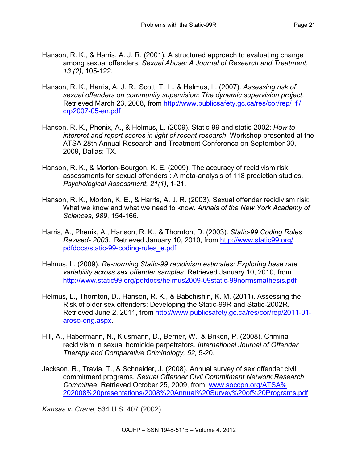- Hanson, R. K., & Harris, A. J. R. (2001). A structured approach to evaluating change among sexual offenders. *Sexual Abuse: A Journal of Research and Treatment*, *13 (2)*, 105-122.
- Hanson, R. K., Harris, A. J. R., Scott, T. L., & Helmus, L. (2007). *Assessing risk of sexual offenders on community supervision: The dynamic supervision project*. Retrieved March 23, 2008, from http://www.publicsafety.gc.ca/res/cor/rep/\_fl/ crp2007-05-en.pdf
- Hanson, R. K., Phenix, A., & Helmus, L. (2009). Static-99 and static-2002: *How to interpret and report scores in light of recent research*. Workshop presented at the ATSA 28th Annual Research and Treatment Conference on September 30, 2009, Dallas: TX.
- Hanson, R. K., & Morton-Bourgon, K. E. (2009). The accuracy of recidivism risk assessments for sexual offenders : A meta-analysis of 118 prediction studies. *Psychological Assessment, 21(1)*, 1-21.
- Hanson, R. K., Morton, K. E., & Harris, A. J. R. (2003). Sexual offender recidivism risk: What we know and what we need to know. *Annals of the New York Academy of Sciences*, *989*, 154-166.
- Harris, A., Phenix, A., Hanson, R. K., & Thornton, D. (2003). *Static-99 Coding Rules Revised- 2003*. Retrieved January 10, 2010, from http://www.static99.org/ pdfdocs/static-99-coding-rules\_e.pdf
- Helmus, L. (2009). *Re-norming Static-99 recidivism estimates: Exploring base rate variability across sex offender samples*. Retrieved January 10, 2010, from http://www.static99.org/pdfdocs/helmus2009-09static-99normsmathesis.pdf
- Helmus, L., Thornton, D., Hanson, R. K., & Babchishin, K. M. (2011). Assessing the Risk of older sex offenders: Developing the Static-99R and Static-2002R. Retrieved June 2, 2011, from http://www.publicsafety.gc.ca/res/cor/rep/2011-01aroso-eng.aspx.
- Hill, A., Habermann, N., Klusmann, D., Berner, W., & Briken, P. (2008). Criminal recidivism in sexual homicide perpetrators. *International Journal of Offender Therapy and Comparative Criminology, 52,* 5-20.
- Jackson, R., Travia, T., & Schneider, J. (2008). Annual survey of sex offender civil commitment programs. *Sexual Offender Civil Commitment Network Research Committee.* Retrieved October 25, 2009, from: www.soccpn.org/ATSA% 202008%20presentations/2008%20Annual%20Survey%20of%20Programs.pdf

*Kansas v. Crane*, 534 U.S. 407 (2002).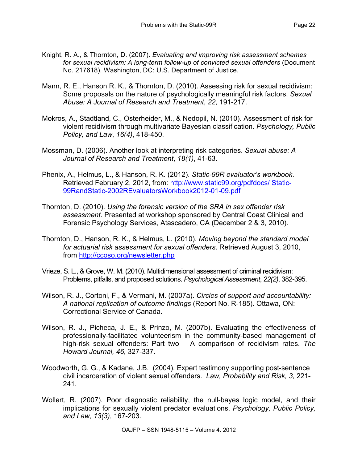- Knight, R. A., & Thornton, D. (2007). *Evaluating and improving risk assessment schemes for sexual recidivism: A long-term follow-up of convicted sexual offenders* (Document No. 217618). Washington, DC: U.S. Department of Justice.
- Mann, R. E., Hanson R. K., & Thornton, D. (2010). Assessing risk for sexual recidivism: Some proposals on the nature of psychologically meaningful risk factors. *Sexual Abuse: A Journal of Research and Treatment*, *22*, 191-217.
- Mokros, A., Stadtland, C., Osterheider, M., & Nedopil, N. (2010). Assessment of risk for violent recidivism through multivariate Bayesian classification. *Psychology, Public Policy, and Law*, *16(4)*, 418-450.
- Mossman, D. (2006). Another look at interpreting risk categories. *Sexual abuse: A Journal of Research and Treatment*, *18(1)*, 41-63.
- Phenix, A., Helmus, L., & Hanson, R. K. (2012). *Static-99R evaluator's workbook*. Retrieved February 2, 2012, from: http://www.static99.org/pdfdocs/ Static-99RandStatic-2002REvaluatorsWorkbook2012-01-09.pdf
- Thornton, D. (2010). *Using the forensic version of the SRA in sex offender risk assessment*. Presented at workshop sponsored by Central Coast Clinical and Forensic Psychology Services, Atascadero, CA (December 2 & 3, 2010).
- Thornton, D., Hanson, R. K., & Helmus, L. (2010). *Moving beyond the standard model for actuarial risk assessment for sexual offenders*. Retrieved August 3, 2010, from http://ccoso.org/newsletter.php
- Vrieze, S. L., & Grove, W. M. (2010). Multidimensional assessment of criminal recidivism: Problems, pitfalls, and proposed solutions. *Psychological Assessment*, *22(2)*, 382-395.
- Wilson, R. J., Cortoni, F., & Vermani, M. (2007a). *Circles of support and accountability: A national replication of outcome findings* (Report No. R-185). Ottawa, ON: Correctional Service of Canada.
- Wilson, R. J., Picheca, J. E., & Prinzo, M. (2007b). Evaluating the effectiveness of professionally-facilitated volunteerism in the community-based management of high-risk sexual offenders: Part two – A comparison of recidivism rates. *The Howard Journal, 46*, 327-337.
- Woodworth, G. G., & Kadane, J.B. (2004). Expert testimony supporting post-sentence civil incarceration of violent sexual offenders. *Law, Probability and Risk, 3,* 221- 241.
- Wollert, R. (2007). Poor diagnostic reliability, the null-bayes logic model, and their implications for sexually violent predator evaluations. *Psychology, Public Policy, and Law*, *13(3)*, 167-203.